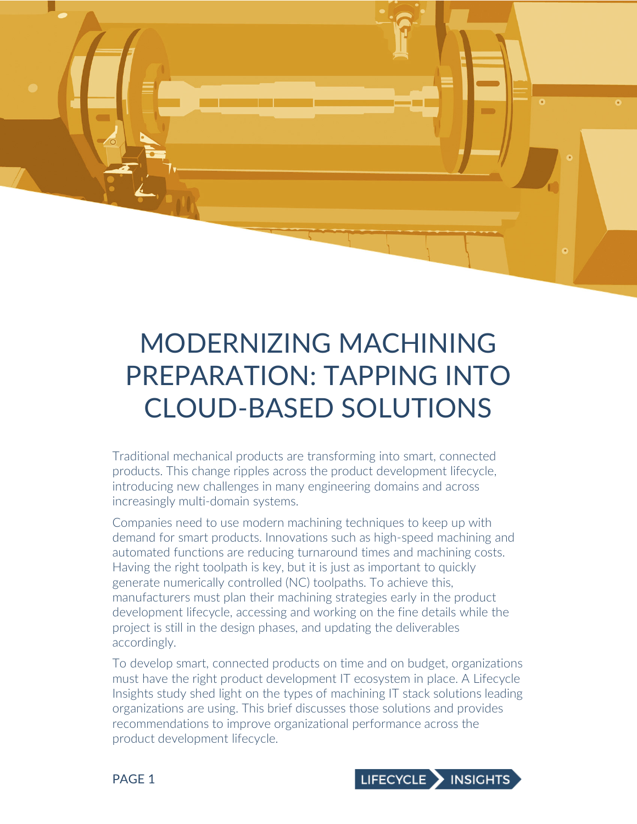

MODERNIZING MACHINING PREPARATION: TAPPING INTO CLOUD-

Traditional mechanical products are transforming into smart, connected products. This change ripples across the product development lifecycle, introducing new challenges in many engineering domains and across increasingly multi-domain systems.

Companies need to use modern machining techniques to keep up with demand for smart products. Innovations such as high-speed machining and automated functions are reducing turnaround times and machining costs. Having the right toolpath is key, but it is just as important to quickly generate numerically controlled (NC) toolpaths. To achieve this, manufacturers must plan their machining strategies early in the product development lifecycle, accessing and working on the fine details while the project is still in the design phases, and updating the deliverables accordingly.

To develop smart, connected products on time and on budget, organizations must have the right product development IT ecosystem in place. A Lifecycle Insights study shed light on the types of machining IT stack solutions leading organizations are using. This brief discusses those solutions and provides recommendations to improve organizational performance across the product development lifecycle.

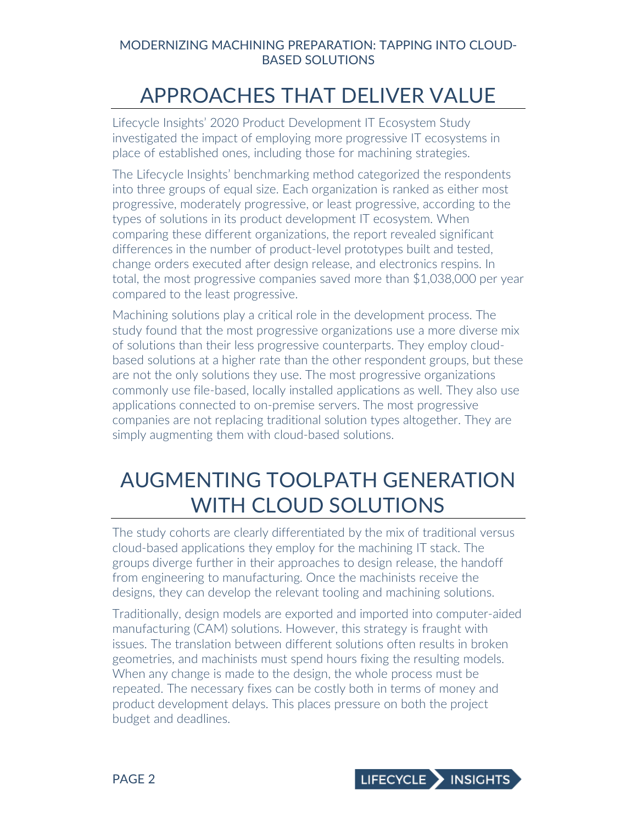## APPROACHES THAT DELIVER VALUE

Lifecycle Insights' 2020 Product Development IT Ecosystem Study investigated the impact of employing more progressive IT ecosystems in place of established ones, including those for machining strategies.

The Lifecycle Insights' benchmarking method categorized the respondents into three groups of equal size. Each organization is ranked as either most progressive, moderately progressive, or least progressive, according to the types of solutions in its product development IT ecosystem. When comparing these different organizations, the report revealed significant differences in the number of product-level prototypes built and tested, change orders executed after design release, and electronics respins. In total, the most progressive companies saved more than \$1,038,000 per year compared to the least progressive.

Machining solutions play a critical role in the development process. The study found that the most progressive organizations use a more diverse mix of solutions than their less progressive counterparts. They employ cloudbased solutions at a higher rate than the other respondent groups, but these are not the only solutions they use. The most progressive organizations commonly use file-based, locally installed applications as well. They also use applications connected to on-premise servers. The most progressive companies are not replacing traditional solution types altogether. They are simply augmenting them with cloud-based solutions.

# AUGMENTING TOOLPATH GENERATION WITH CLOUD SOLUTIONS

The study cohorts are clearly differentiated by the mix of traditional versus cloud-based applications they employ for the machining IT stack. The groups diverge further in their approaches to design release, the handoff from engineering to manufacturing. Once the machinists receive the designs, they can develop the relevant tooling and machining solutions.

Traditionally, design models are exported and imported into computer-aided manufacturing (CAM) solutions. However, this strategy is fraught with issues. The translation between different solutions often results in broken geometries, and machinists must spend hours fixing the resulting models. When any change is made to the design, the whole process must be repeated. The necessary fixes can be costly both in terms of money and product development delays. This places pressure on both the project budget and deadlines.

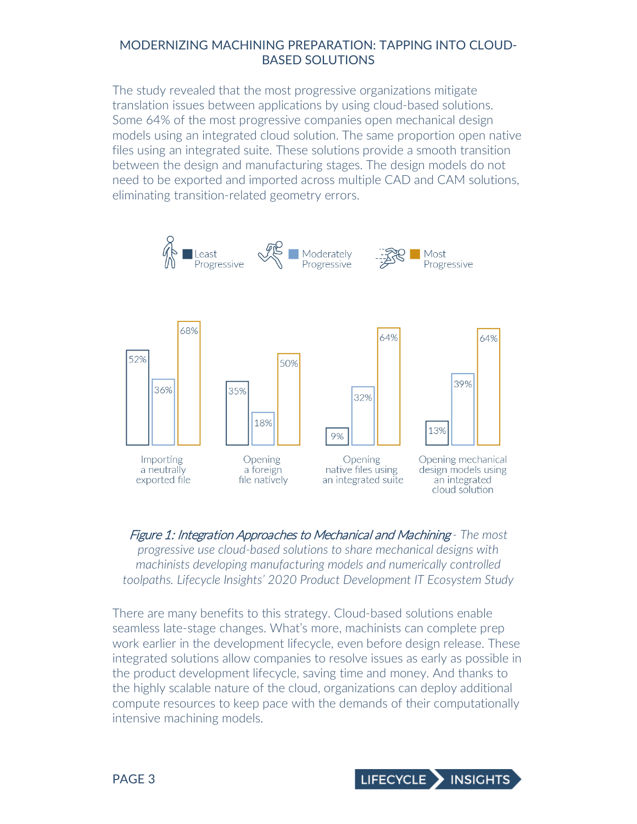The study revealed that the most progressive organizations mitigate translation issues between applications by using cloud-based solutions. Some 64% of the most progressive companies open mechanical design models using an integrated cloud solution. The same proportion open native files using an integrated suite. These solutions provide a smooth transition between the design and manufacturing stages. The design models do not need to be exported and imported across multiple CAD and CAM solutions, eliminating transition-related geometry errors.



Figure 1: Integration Approaches to Mechanical and Machining *- The most progressive use cloud-based solutions to share mechanical designs with machinists developing manufacturing models and numerically controlled toolpaths. Lifecycle Insights' 2020 Product Development IT Ecosystem Study*

There are many benefits to this strategy. Cloud-based solutions enable seamless late-stage changes. What's more, machinists can complete prep work earlier in the development lifecycle, even before design release. These integrated solutions allow companies to resolve issues as early as possible in the product development lifecycle, saving time and money. And thanks to the highly scalable nature of the cloud, organizations can deploy additional compute resources to keep pace with the demands of their computationally intensive machining models.

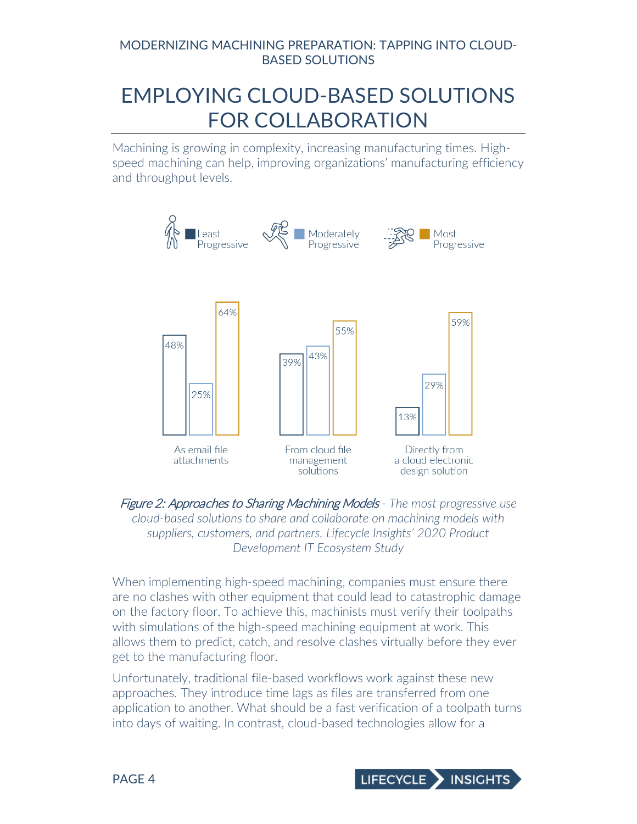# EMPLOYING CLOUD-BASED SOLUTIONS FOR COLLABORATION

Machining is growing in complexity, increasing manufacturing times. Highspeed machining can help, improving organizations' manufacturing efficiency and throughput levels.



Figure 2: Approaches to Sharing Machining Models *- The most progressive use cloud-based solutions to share and collaborate on machining models with suppliers, customers, and partners. Lifecycle Insights' 2020 Product Development IT Ecosystem Study*

When implementing high-speed machining, companies must ensure there are no clashes with other equipment that could lead to catastrophic damage on the factory floor. To achieve this, machinists must verify their toolpaths with simulations of the high-speed machining equipment at work. This allows them to predict, catch, and resolve clashes virtually before they ever get to the manufacturing floor.

Unfortunately, traditional file-based workflows work against these new approaches. They introduce time lags as files are transferred from one application to another. What should be a fast verification of a toolpath turns into days of waiting. In contrast, cloud-based technologies allow for a